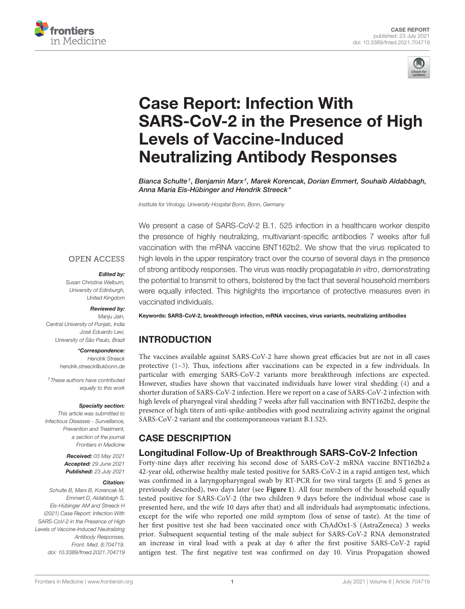



# Case Report: Infection With [SARS-CoV-2 in the Presence of High](https://www.frontiersin.org/articles/10.3389/fmed.2021.704719/full) Levels of Vaccine-Induced Neutralizing Antibody Responses

Bianca Schulte†, Benjamin Marx†, Marek Korencak, Dorian Emmert, Souhaib Aldabbagh, Anna Maria Eis-Hübinger and Hendrik Streeck\*

Institute for Virology, University Hospital Bonn, Bonn, Germany

**OPEN ACCESS** 

#### Edited by:

Susan Christina Welburn, University of Edinburgh, United Kingdom

#### Reviewed by:

Manju Jain, Central University of Punjab, India José Eduardo Levi, University of São Paulo, Brazil

#### \*Correspondence:

Hendrik Streeck [hendrik.streeck@ukbonn.de](mailto:hendrik.streeck@ukbonn.de)

†These authors have contributed equally to this work

#### Specialty section:

This article was submitted to Infectious Diseases - Surveillance, Prevention and Treatment, a section of the journal Frontiers in Medicine

> Received: 03 May 2021 Accepted: 29 June 2021 Published: 23 July 2021

#### Citation:

Schulte B, Marx B, Korencak M, Emmert D, Aldabbagh S, Eis-Hübinger AM and Streeck H (2021) Case Report: Infection With SARS-CoV-2 in the Presence of High Levels of Vaccine-Induced Neutralizing Antibody Responses. Front. Med. 8:704719. doi: [10.3389/fmed.2021.704719](https://doi.org/10.3389/fmed.2021.704719)

the presence of highly neutralizing, multivariant-specific antibodies 7 weeks after full vaccination with the mRNA vaccine BNT162b2. We show that the virus replicated to high levels in the upper respiratory tract over the course of several days in the presence of strong antibody responses. The virus was readily propagatable in vitro, demonstrating the potential to transmit to others, bolstered by the fact that several household members were equally infected. This highlights the importance of protective measures even in vaccinated individuals.

We present a case of SARS-CoV-2 B.1. 525 infection in a healthcare worker despite

Keywords: SARS-CoV-2, breakthrough infection, mRNA vaccines, virus variants, neutralizing antibodies

# INTRODUCTION

The vaccines available against SARS-CoV-2 have shown great efficacies but are not in all cases protective [\(1–](#page-3-0)[3\)](#page-3-1). Thus, infections after vaccinations can be expected in a few individuals. In particular with emerging SARS-CoV-2 variants more breakthrough infections are expected. However, studies have shown that vaccinated individuals have lower viral shedding [\(4\)](#page-3-2) and a shorter duration of SARS-CoV-2 infection. Here we report on a case of SARS-CoV-2 infection with high levels of pharyngeal viral shedding 7 weeks after full vaccination with BNT162b2, despite the presence of high titers of anti-spike-antibodies with good neutralizing activity against the original SARS-CoV-2 variant and the contemporaneous variant B.1.525.

## CASE DESCRIPTION

## Longitudinal Follow-Up of Breakthrough SARS-CoV-2 Infection

Forty-nine days after receiving his second dose of SARS-CoV-2 mRNA vaccine BNT162b2 a 42-year old, otherwise healthy male tested positive for SARS-CoV-2 in a rapid antigen test, which was confirmed in a laryngopharyngeal swab by RT-PCR for two viral targets (E and S genes as previously described), two days later (see **[Figure 1](#page-1-0)**). All four members of the household equally tested positive for SARS-CoV-2 (the two children 9 days before the individual whose case is presented here, and the wife 10 days after that) and all individuals had asymptomatic infections, except for the wife who reported one mild symptom (loss of sense of taste). At the time of her first positive test she had been vaccinated once with ChAdOx1-S (AstraZeneca) 3 weeks prior. Subsequent sequential testing of the male subject for SARS-CoV-2 RNA demonstrated an increase in viral load with a peak at day 6 after the first positive SARS-CoV-2 rapid antigen test. The first negative test was confirmed on day 10. Virus Propagation showed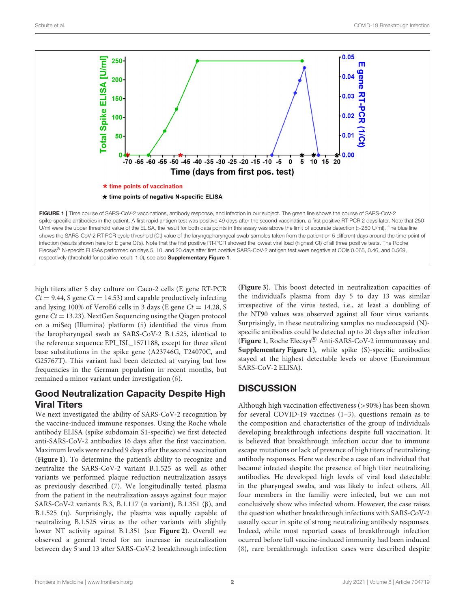

<span id="page-1-0"></span>respectively (threshold for positive result: 1.0), see also **[Supplementary Figure 1](#page-3-3)**.

high titers after 5 day culture on Caco-2 cells (E gene RT-PCR  $Ct = 9.44$ , S gene  $Ct = 14.53$ ) and capable productively infecting and lysing 100% of VeroE6 cells in 3 days (E gene  $Ct = 14.28$ , S gene  $Ct = 13.23$ ). NextGen Sequencing using the Qiagen protocol on a miSeq (Illumina) platform [\(5\)](#page-3-4) identified the virus from the laropharyngeal swab as SARS-CoV-2 B.1.525, identical to the reference sequence EPI\_ISL\_1571188, except for three silent base substitutions in the spike gene (A23746G, T24070C, and G25767T). This variant had been detected at varying but low frequencies in the German population in recent months, but remained a minor variant under investigation [\(6\)](#page-3-5).

## Good Neutralization Capacity Despite High Viral Titers

We next investigated the ability of SARS-CoV-2 recognition by the vaccine-induced immune responses. Using the Roche whole antibody ELISA (spike subdomain S1-specific) we first detected anti-SARS-CoV-2 antibodies 16 days after the first vaccination. Maximum levels were reached 9 days after the second vaccination (**[Figure 1](#page-1-0)**). To determine the patient's ability to recognize and neutralize the SARS-CoV-2 variant B.1.525 as well as other variants we performed plaque reduction neutralization assays as previously described [\(7\)](#page-3-6). We longitudinally tested plasma from the patient in the neutralization assays against four major SARS-CoV-2 variants B.3, B.1.117 (α variant), B.1.351 (β), and B.1.525 (η). Surprisingly, the plasma was equally capable of neutralizing B.1.525 virus as the other variants with slightly lower NT activity against B.1.351 (see **[Figure 2](#page-2-0)**). Overall we observed a general trend for an increase in neutralization between day 5 and 13 after SARS-CoV-2 breakthrough infection (**[Figure 3](#page-2-1)**). This boost detected in neutralization capacities of the individual's plasma from day 5 to day 13 was similar irrespective of the virus tested, i.e., at least a doubling of the NT90 values was observed against all four virus variants. Surprisingly, in these neutralizing samples no nucleocapsid (N) specific antibodies could be detected up to 20 days after infection (**[Figure 1](#page-1-0)**, Roche Elecsys <sup>R</sup> Anti-SARS-CoV-2 immunoassay and **[Supplementary Figure 1](#page-3-3)**), while spike (S)-specific antibodies stayed at the highest detectable levels or above (Euroimmun SARS-CoV-2 ELISA).

# **DISCUSSION**

Although high vaccination effectiveness (>90%) has been shown for several COVID-19 vaccines [\(1–](#page-3-0)[3\)](#page-3-1), questions remain as to the composition and characteristics of the group of individuals developing breakthrough infections despite full vaccination. It is believed that breakthrough infection occur due to immune escape mutations or lack of presence of high titers of neutralizing antibody responses. Here we describe a case of an individual that became infected despite the presence of high titer neutralizing antibodies. He developed high levels of viral load detectable in the pharyngeal swabs, and was likely to infect others. All four members in the familiy were infected, but we can not conclusively show who infected whom. However, the case raises the question whether breakthrough infections with SARS-CoV-2 usually occur in spite of strong neutralizing antibody responses. Indeed, while most reported cases of breakthrough infection ocurred before full vaccine-induced immunity had been induced [\(8\)](#page-3-7), rare breakthrough infection cases were described despite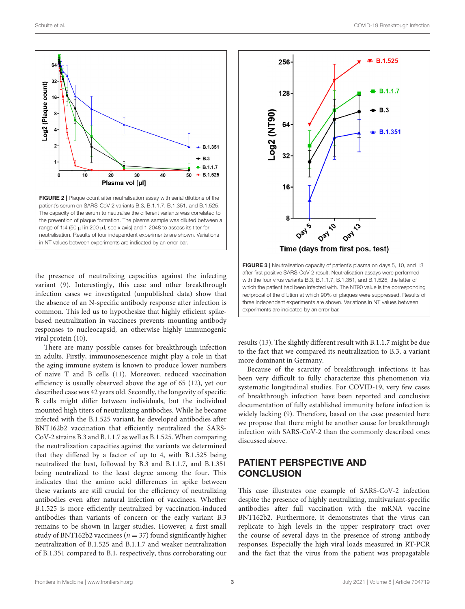

<span id="page-2-0"></span>the presence of neutralizing capacities against the infecting variant [\(9\)](#page-3-8). Interestingly, this case and other breakthrough infection cases we investigated (unpublished data) show that the absence of an N-specific antibody response after infection is common. This led us to hypothesize that highly efficient spikebased neutralization in vaccinees prevents mounting antibody responses to nucleocapsid, an otherwise highly immunogenic viral protein [\(10\)](#page-3-9).

There are many possible causes for breakthrough infection in adults. Firstly, immunosenescence might play a role in that the aging immune system is known to produce lower numbers of naive T and B cells [\(11\)](#page-3-10). Moreover, reduced vaccination efficiency is usually observed above the age of 65 [\(12\)](#page-3-11), yet our described case was 42 years old. Secondly, the longevity of specific B cells might differ between individuals, but the individual mounted high titers of neutralizing antibodies. While he became infected with the B.1.525 variant, he developed antibodies after BNT162b2 vaccination that efficiently neutralized the SARS-CoV-2 strains B.3 and B.1.1.7 as well as B.1.525. When comparing the neutralization capacities against the variants we determined that they differed by a factor of up to 4, with B.1.525 being neutralized the best, followed by B.3 and B.1.1.7, and B.1.351 being neutralized to the least degree among the four. This indicates that the amino acid differences in spike between these variants are still crucial for the efficiency of neutralizing antibodies even after natural infection of vaccinees. Whether B.1.525 is more efficiently neutralized by vaccination-induced antibodies than variants of concern or the early variant B.3 remains to be shown in larger studies. However, a first small study of BNT162b2 vaccinees ( $n = 37$ ) found significantly higher neutralization of B.1.525 and B.1.1.7 and weaker neutralization of B.1.351 compared to B.1, respectively, thus corroborating our



<span id="page-2-1"></span>results [\(13\)](#page-3-12). The slightly different result with B.1.1.7 might be due to the fact that we compared its neutralization to B.3, a variant more dominant in Germany.

Because of the scarcity of breakthrough infections it has been very difficult to fully characterize this phenomenon via systematic longitudinal studies. For COVID-19, very few cases of breakthrough infection have been reported and conclusive documentation of fully established immunity before infection is widely lacking [\(9\)](#page-3-8). Therefore, based on the case presented here we propose that there might be another cause for breakthrough infection with SARS-CoV-2 than the commonly described ones discussed above.

## PATIENT PERSPECTIVE AND **CONCLUSION**

This case illustrates one example of SARS-CoV-2 infection despite the presence of highly neutralizing, multivariant-specific antibodies after full vaccination with the mRNA vaccine BNT162b2. Furthermore, it demonstrates that the virus can replicate to high levels in the upper respiratory tract over the course of several days in the presence of strong antibody responses. Especially the high viral loads measured in RT-PCR and the fact that the virus from the patient was propagatable